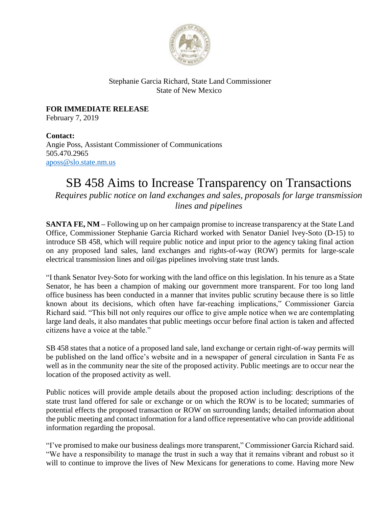

## Stephanie Garcia Richard, State Land Commissioner State of New Mexico

**FOR IMMEDIATE RELEASE** February 7, 2019

**Contact:** Angie Poss, Assistant Commissioner of Communications 505.470.2965 [aposs@slo.state.nm.us](mailto:aposs@slo.state.nm.us)

## SB 458 Aims to Increase Transparency on Transactions

*Requires public notice on land exchanges and sales, proposals for large transmission lines and pipelines*

**SANTA FE, NM –** Following up on her campaign promise to increase transparency at the State Land Office, Commissioner Stephanie Garcia Richard worked with Senator Daniel Ivey-Soto (D-15) to introduce SB 458, which will require public notice and input prior to the agency taking final action on any proposed land sales, land exchanges and rights-of-way (ROW) permits for large-scale electrical transmission lines and oil/gas pipelines involving state trust lands.

"I thank Senator Ivey-Soto for working with the land office on this legislation. In his tenure as a State Senator, he has been a champion of making our government more transparent. For too long land office business has been conducted in a manner that invites public scrutiny because there is so little known about its decisions, which often have far-reaching implications," Commissioner Garcia Richard said. "This bill not only requires our office to give ample notice when we are contemplating large land deals, it also mandates that public meetings occur before final action is taken and affected citizens have a voice at the table."

SB 458 states that a notice of a proposed land sale, land exchange or certain right-of-way permits will be published on the land office's website and in a newspaper of general circulation in Santa Fe as well as in the community near the site of the proposed activity. Public meetings are to occur near the location of the proposed activity as well.

Public notices will provide ample details about the proposed action including: descriptions of the state trust land offered for sale or exchange or on which the ROW is to be located; summaries of potential effects the proposed transaction or ROW on surrounding lands; detailed information about the public meeting and contact information for a land office representative who can provide additional information regarding the proposal.

"I've promised to make our business dealings more transparent," Commissioner Garcia Richard said. "We have a responsibility to manage the trust in such a way that it remains vibrant and robust so it will to continue to improve the lives of New Mexicans for generations to come. Having more New